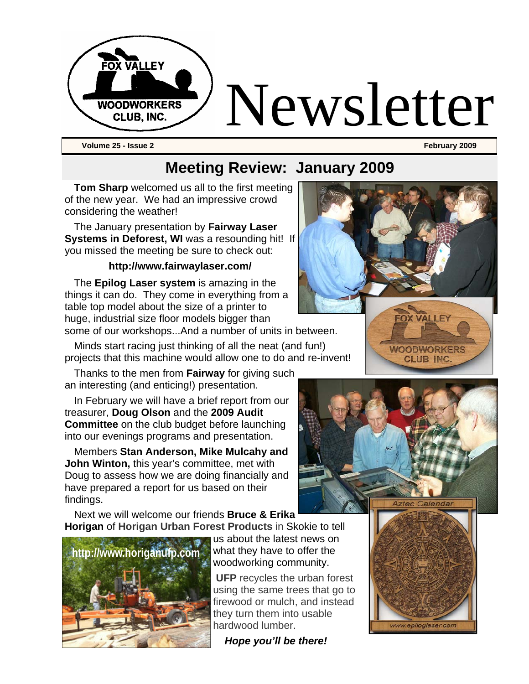

**Volume 25 - Issue 2 February 2009** 

### **Meeting Review: January 2009**

**Tom Sharp** welcomed us all to the first meeting of the new year. We had an impressive crowd considering the weather!

The January presentation by **Fairway Laser Systems in Deforest, WI** was a resounding hit! If you missed the meeting be sure to check out:

#### **http://www.fairwaylaser.com/**

The **Epilog Laser system** is amazing in the things it can do. They come in everything from a table top model about the size of a printer to huge, industrial size floor models bigger than some of our workshops...And a number of units in between.

Minds start racing just thinking of all the neat (and fun!) projects that this machine would allow one to do and re-invent!

Thanks to the men from **Fairway** for giving such an interesting (and enticing!) presentation.

In February we will have a brief report from our treasurer, **Doug Olson** and the **2009 Audit Committee** on the club budget before launching into our evenings programs and presentation.

Members **Stan Anderson, Mike Mulcahy and John Winton,** this year's committee, met with Doug to assess how we are doing financially and have prepared a report for us based on their findings.

Next we will welcome our friends **Bruce & Erika Horigan** of **Horigan Urban Forest Products** in Skokie to tell



us about the latest news on what they have to offer the woodworking community.

**UFP** recycles the urban forest using the same trees that go to firewood or mulch, and instead they turn them into usable hardwood lumber.

 *Hope you'll be there!*







**CLUB INC**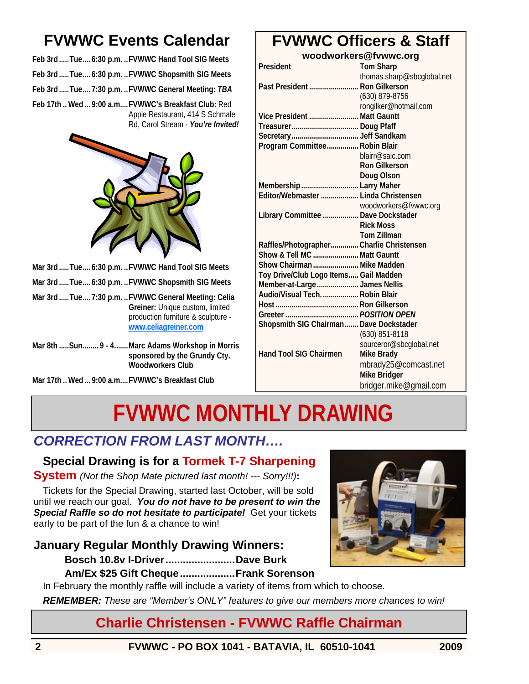# **FVWWC Events Calendar**

**Feb 3rd .....Tue....6:30 p.m. ..FVWWC Hand Tool SIG Meets Feb 3rd .....Tue....6:30 p.m. ..FVWWC Shopsmith SIG Meets Feb 3rd .....Tue....7:30 p.m. ..FVWWC General Meeting:** *TBA* **Feb 17th .. Wed ... 9:00 a.m....FVWWC's Breakfast Club:** Red

Apple Restaurant, 414 S Schmale Rd, Carol Stream - *You're Invited!*



**Mar 3rd .....Tue....6:30 p.m. ..FVWWC Hand Tool SIG Meets** 

- **Mar 3rd .....Tue....6:30 p.m. ..FVWWC Shopsmith SIG Meets**
- **Mar 3rd .....Tue....7:30 p.m. ..FVWWC General Meeting: Celia Greiner:** Unique custom, limited production furniture & sculpture **www.celiagreiner.com**
- **Mar 8th .....Sun........ 9 4.......Marc Adams Workshop in Morris sponsored by the Grundy Cty. Woodworkers Club**

**Mar 17th .. Wed ... 9:00 a.m....FVWWC's Breakfast Club** 

# **FVWWC Officers & Staff**

**woodworkers@fvwwc.org** 

| President                                | <b>Tom Sharp</b>           |
|------------------------------------------|----------------------------|
|                                          | thomas.sharp@sbcglobal.net |
| Past President  Ron Gilkerson            |                            |
|                                          | (630) 879-8756             |
|                                          | rongilker@hotmail.com      |
| Vice President  Matt Gauntt              |                            |
|                                          |                            |
|                                          |                            |
| Program Committee Robin Blair            |                            |
|                                          | blairr@saic.com            |
|                                          | <b>Ron Gilkerson</b>       |
|                                          | <b>Doug Olson</b>          |
| Membership  Larry Maher                  |                            |
| Editor/Webmaster  Linda Christensen      |                            |
|                                          | woodworkers@fvwwc.org      |
| Library Committee  Dave Dockstader       |                            |
|                                          | <b>Rick Moss</b>           |
|                                          | <b>Tom Zillman</b>         |
| Raffles/Photographer Charlie Christensen |                            |
| Show & Tell MC  Matt Gauntt              |                            |
| Show Chairman  Mike Madden               |                            |
| Toy Drive/Club Logo Items Gail Madden    |                            |
| Member-at-Large  James Nellis            |                            |
| Audio/Visual Tech.  Robin Blair          |                            |
|                                          |                            |
|                                          |                            |
| Shopsmith SIG Chairman Dave Dockstader   |                            |
|                                          | $(630)$ 851-8118           |
|                                          | sourceror@sbcglobal.net    |
| <b>Hand Tool SIG Chairmen</b>            | <b>Mike Brady</b>          |
|                                          | mbrady25@comcast.net       |
|                                          | Mike Bridger               |
|                                          | bridger.mike@gmail.com     |

# **FVWWC MONTHLY DRAWING**

### *CORRECTION FROM LAST MONTH….*

#### **Special Drawing is for a Tormek T-7 Sharpening**

**System** *(Not the Shop Mate pictured last month! --- Sorry!!!)***:**

Tickets for the Special Drawing, started last October, will be sold until we reach our goal. *You do not have to be present to win the Special Raffle so do not hesitate to participate!* Get your tickets early to be part of the fun & a chance to win!

#### **January Regular Monthly Drawing Winners:**

**Bosch 10.8v I-Driver........................Dave Burk** 

#### **Am/Ex \$25 Gift Cheque...................Frank Sorenson**

In February the monthly raffle will include a variety of items from which to choose.

*REMEMBER: These are "Member's ONLY" features to give our members more chances to win!* 

### **Charlie Christensen - FVWWC Raffle Chairman**



**2 FVWWC - PO BOX 1041 - BATAVIA, IL 60510-1041 2009**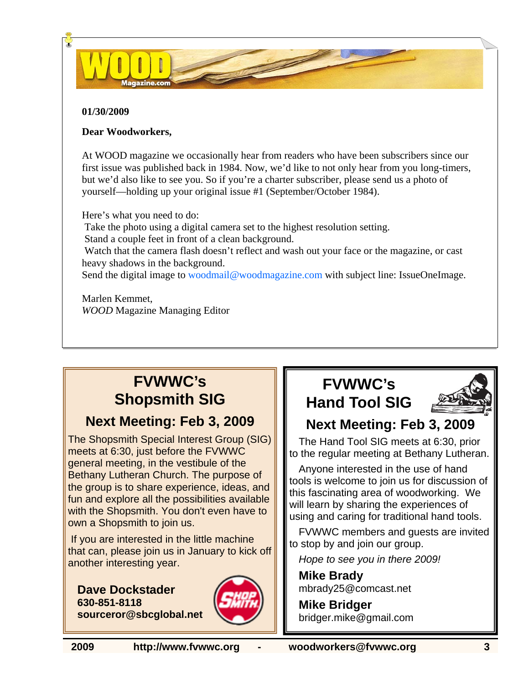#### **01/30/2009**

#### **Dear Woodworkers,**

At WOOD magazine we occasionally hear from readers who have been subscribers since our first issue was published back in 1984. Now, we'd like to not only hear from you long-timers, but we'd also like to see you. So if you're a charter subscriber, please send us a photo of yourself—holding up your original issue #1 (September/October 1984).

D-

Here's what you need to do:

Take the photo using a digital camera set to the highest resolution setting.

Stand a couple feet in front of a clean background.

 Watch that the camera flash doesn't reflect and wash out your face or the magazine, or cast heavy shadows in the background.

Send the digital image to woodmail@woodmagazine.com with subject line: IssueOneImage.

Marlen Kemmet, *WOOD* Magazine Managing Editor

# **FVWWC's Shopsmith SIG**

#### **Next Meeting: Feb 3, 2009**

The Shopsmith Special Interest Group (SIG) meets at 6:30, just before the FVWWC general meeting, in the vestibule of the Bethany Lutheran Church. The purpose of the group is to share experience, ideas, and fun and explore all the possibilities available with the Shopsmith. You don't even have to own a Shopsmith to join us.

 If you are interested in the little machine that can, please join us in January to kick off another interesting year.

**Dave Dockstader 630-851-8118 sourceror@sbcglobal.net**



# **FVWWC's Hand Tool SIG**



## **Next Meeting: Feb 3, 2009**

The Hand Tool SIG meets at 6:30, prior to the regular meeting at Bethany Lutheran.

Anyone interested in the use of hand tools is welcome to join us for discussion of this fascinating area of woodworking. We will learn by sharing the experiences of using and caring for traditional hand tools.

FVWWC members and guests are invited to stop by and join our group.

*Hope to see you in there 2009!* 

**Mike Brady**  mbrady25@comcast.net

**Mike Bridger**  bridger.mike@gmail.com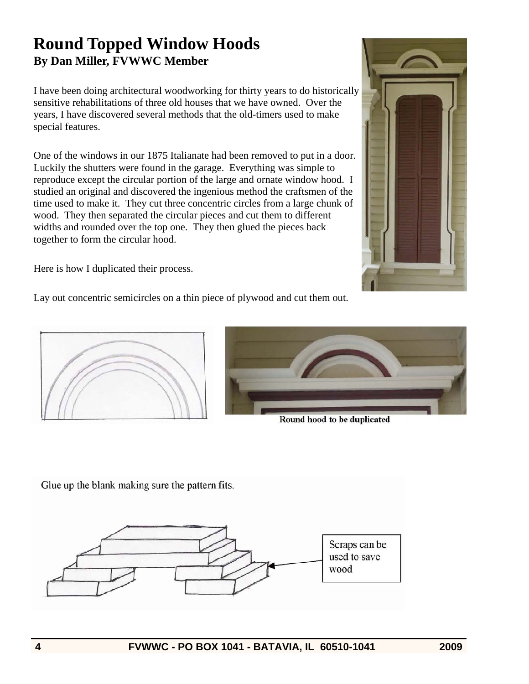### **Round Topped Window Hoods By Dan Miller, FVWWC Member**

I have been doing architectural woodworking for thirty years to do historically sensitive rehabilitations of three old houses that we have owned. Over the years, I have discovered several methods that the old-timers used to make special features.

One of the windows in our 1875 Italianate had been removed to put in a door. Luckily the shutters were found in the garage. Everything was simple to reproduce except the circular portion of the large and ornate window hood. I studied an original and discovered the ingenious method the craftsmen of the time used to make it. They cut three concentric circles from a large chunk of wood. They then separated the circular pieces and cut them to different widths and rounded over the top one. They then glued the pieces back together to form the circular hood.



Here is how I duplicated their process.

Lay out concentric semicircles on a thin piece of plywood and cut them out.





Round hood to be duplicated

Glue up the blank making sure the pattern fits.

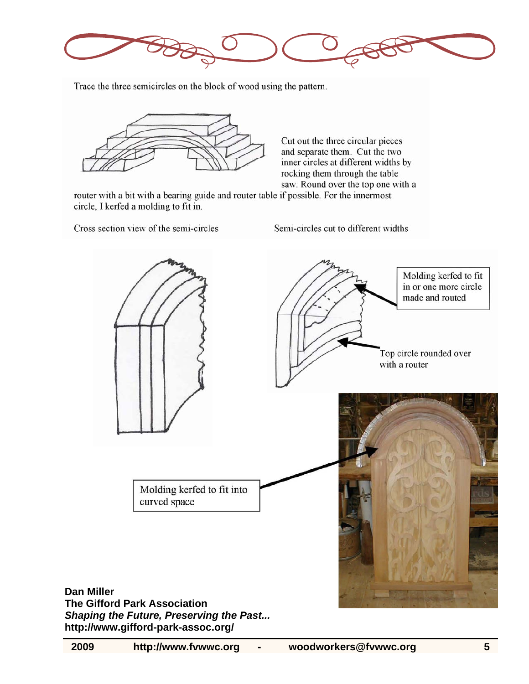

Trace the three semicircles on the block of wood using the pattern.



Cut out the three circular pieces and separate them. Cut the two inner circles at different widths by rocking them through the table saw. Round over the top one with a

router with a bit with a bearing guide and router table if possible. For the innermost circle, I kerfed a molding to fit in.

Cross section view of the semi-circles

Semi-circles cut to different widths

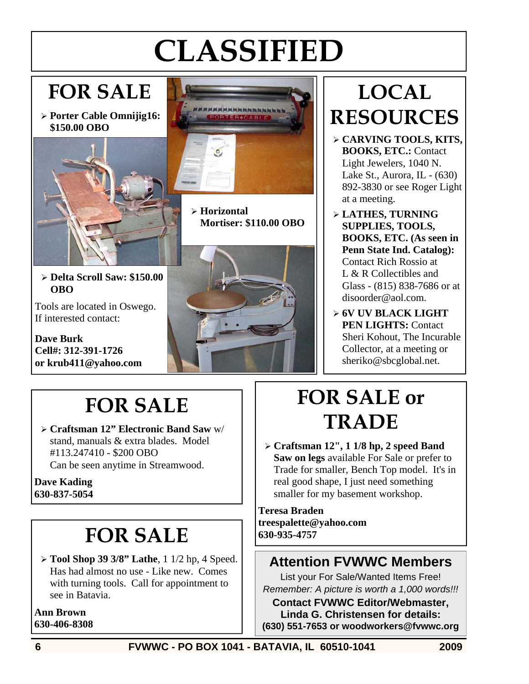# **CLASSIFIED**

# **FOR SALE**

¾ **Porter Cable Omnijig16: \$150.00 OBO** 





¾ **Horizontal Mortiser: \$110.00 OBO** 

¾ **Delta Scroll Saw: \$150.00 OBO** 

Tools are located in Oswego. If interested contact:

**Dave Burk Cell#: 312-391-1726 or krub411@yahoo.com** 



# **LOCAL RESOURCES**

- ¾ **CARVING TOOLS, KITS, BOOKS, ETC.:** Contact Light Jewelers, 1040 N. Lake St., Aurora, IL - (630) 892-3830 or see Roger Light at a meeting.
- ¾ **LATHES, TURNING SUPPLIES, TOOLS, BOOKS, ETC. (As seen in Penn State Ind. Catalog):**  Contact Rich Rossio at L & R Collectibles and Glass - (815) 838-7686 or at disoorder@aol.com.
- ¾ **6V UV BLACK LIGHT PEN LIGHTS:** Contact Sheri Kohout, The Incurable Collector, at a meeting or sheriko@sbcglobal.net.

# **FOR SALE**

¾ **Craftsman 12" Electronic Band Saw** w/ stand, manuals & extra blades. Model #113.247410 - \$200 OBO Can be seen anytime in Streamwood.

**Dave Kading 630-837-5054** 

# **FOR SALE**

¾ **Tool Shop 39 3/8" Lathe**, 1 1/2 hp, 4 Speed. Has had almost no use - Like new. Comes with turning tools. Call for appointment to see in Batavia.

**Ann Brown 630-406-8308** 

# **FOR SALE or TRADE**

¾ **Craftsman 12", 1 1/8 hp, 2 speed Band Saw on legs** available For Sale or prefer to Trade for smaller, Bench Top model. It's in real good shape, I just need something smaller for my basement workshop.

**Teresa Braden treespalette@yahoo.com 630-935-4757** 

### **Attention FVWWC Members**

List your For Sale/Wanted Items Free! *Remember: A picture is worth a 1,000 words!!!* 

**Contact FVWWC Editor/Webmaster, Linda G. Christensen for details: (630) 551-7653 or woodworkers@fvwwc.org**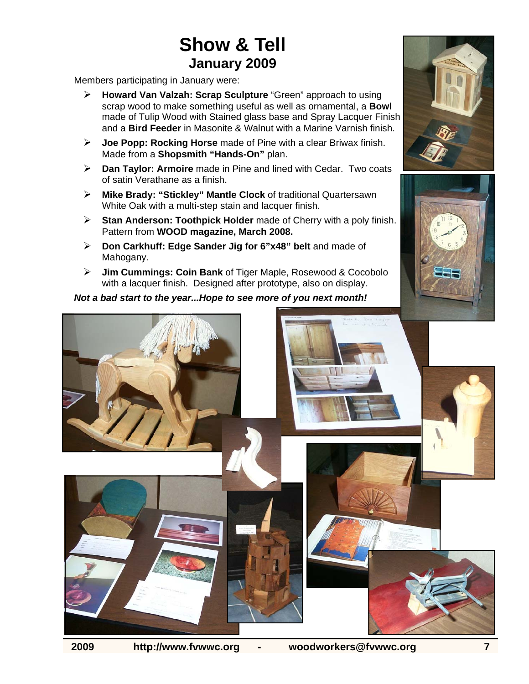# **Show & Tell January 2009**

Members participating in January were:

- ¾ **Howard Van Valzah: Scrap Sculpture** "Green" approach to using scrap wood to make something useful as well as ornamental, a **Bowl**  made of Tulip Wood with Stained glass base and Spray Lacquer Finish and a **Bird Feeder** in Masonite & Walnut with a Marine Varnish finish.
- ¾ **Joe Popp: Rocking Horse** made of Pine with a clear Briwax finish. Made from a **Shopsmith "Hands-On"** plan.
- ¾ **Dan Taylor: Armoire** made in Pine and lined with Cedar. Two coats of satin Verathane as a finish.
- ¾ **Mike Brady: "Stickley" Mantle Clock** of traditional Quartersawn White Oak with a multi-step stain and lacquer finish.
- ¾ **Stan Anderson: Toothpick Holder** made of Cherry with a poly finish. Pattern from **WOOD magazine, March 2008.**
- ¾ **Don Carkhuff: Edge Sander Jig for 6"x48" belt** and made of Mahogany.
- ¾ **Jim Cummings: Coin Bank** of Tiger Maple, Rosewood & Cocobolo with a lacquer finish. Designed after prototype, also on display.

*Not a bad start to the year...Hope to see more of you next month!*